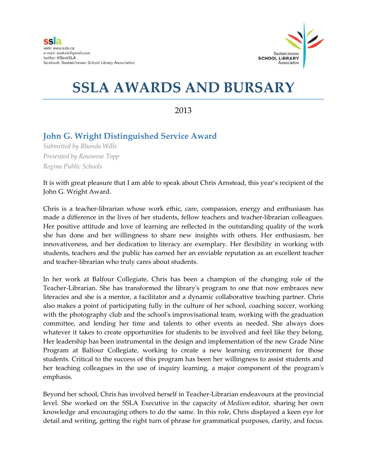

## **SSLA AWARDS AND BURSARY**

2013

## **John G. Wright Distinguished Service Award**

*Submitted by Rhonda Wills Presented by Roseanne Topp Regina Public Schools*

It is with great pleasure that I am able to speak about Chris Arnstead, this year's recipient of the John G. Wright Award.

Chris is a teacher-librarian whose work ethic, care, compassion, energy and enthusiasm has made a difference in the lives of her students, fellow teachers and teacher-librarian colleagues. Her positive attitude and love of learning are reflected in the outstanding quality of the work she has done and her willingness to share new insights with others. Her enthusiasm, her innovativeness, and her dedication to literacy are exemplary. Her flexibility in working with students, teachers and the public has earned her an enviable reputation as an excellent teacher and teacher-librarian who truly cares about students.

In her work at Balfour Collegiate, Chris has been a champion of the changing role of the Teacher-Librarian. She has transformed the library's program to one that now embraces new literacies and she is a mentor, a facilitator and a dynamic collaborative teaching partner. Chris also makes a point of participating fully in the culture of her school, coaching soccer, working with the photography club and the school's improvisational team, working with the graduation committee, and lending her time and talents to other events as needed. She always does whatever it takes to create opportunities for students to be involved and feel like they belong. Her leadership has been instrumental in the design and implementation of the new Grade Nine Program at Balfour Collegiate, working to create a new learning environment for those students. Critical to the success of this program has been her willingness to assist students and her teaching colleagues in the use of inquiry learning, a major component of the program's emphasis.

Beyond her school, Chris has involved herself in Teacher-Librarian endeavours at the provincial level. She worked on the SSLA Executive in the capacity of *Medium* editor, sharing her own knowledge and encouraging others to do the same. In this role, Chris displayed a keen eye for detail and writing, getting the right turn of phrase for grammatical purposes, clarity, and focus.